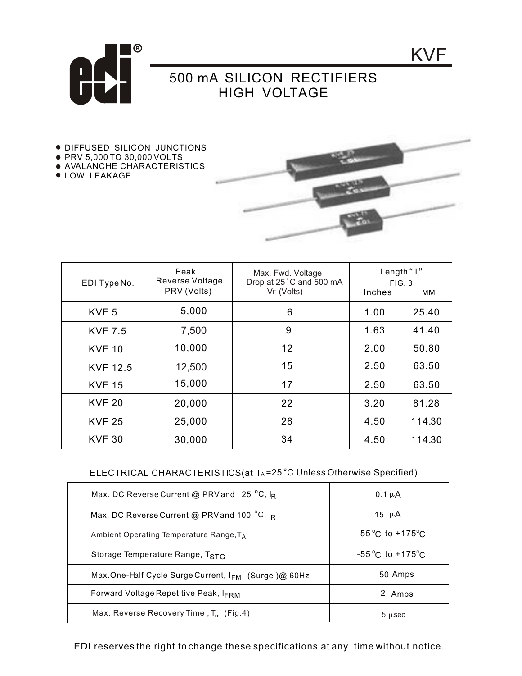

## 500 mA SILICON RECTIFIERS HIGH VOLTAGE

- **DIFFUSED SILICON JUNCTIONS**
- PRV 5,000 TO 30,000 VOLTS
- AVALANCHE CHARACTERISTICS
- **.** LOW LEAKAGE



KVF

| EDI Type No.     | Peak<br>Reverse Voltage<br>PRV (Volts) | Max. Fwd. Voltage<br>Drop at 25°C and 500 mA<br>VF (Volts) | Inches | Length "L"<br>FIG. 3<br>ΜМ |
|------------------|----------------------------------------|------------------------------------------------------------|--------|----------------------------|
| KVF <sub>5</sub> | 5,000                                  | 6                                                          | 1.00   | 25.40                      |
| <b>KVF 7.5</b>   | 7,500                                  | 9                                                          | 1.63   | 41.40                      |
| <b>KVF 10</b>    | 10,000                                 | 12                                                         | 2.00   | 50.80                      |
| <b>KVF 12.5</b>  | 12,500                                 | 15                                                         | 2.50   | 63.50                      |
| <b>KVF 15</b>    | 15,000                                 | 17                                                         | 2.50   | 63.50                      |
| <b>KVF 20</b>    | 20,000                                 | 22                                                         | 3.20   | 81.28                      |
| <b>KVF 25</b>    | 25,000                                 | 28                                                         | 4.50   | 114.30                     |
| <b>KVF 30</b>    | 30,000                                 | 34                                                         | 4.50   | 114.30                     |

## ELECTRICAL CHARACTERISTICS(at TA=25 °C Unless Otherwise Specified)

| Max. DC Reverse Current @ PRV and 25 $^{\circ}$ C, I <sub>R</sub> | $0.1 \mu A$                         |  |
|-------------------------------------------------------------------|-------------------------------------|--|
| Max. DC Reverse Current @ PRV and 100 °C, IR                      | 15 $\mu$ A                          |  |
| Ambient Operating Temperature Range, $T_A$                        | $-55^{\circ}$ C to $+175^{\circ}$ C |  |
| Storage Temperature Range, TSTG                                   | $-55^{\circ}$ C to $+175^{\circ}$ C |  |
| Max.One-Half Cycle Surge Current, IFM (Surge)@ 60Hz               | 50 Amps                             |  |
| <b>Forward Voltage Repetitive Peak, IFRM</b>                      | 2 Amps                              |  |
| Max. Reverse Recovery Time, $T_{rr}$ (Fig.4)                      | 5 µsec                              |  |

EDI reserves the right to change these specifications at any time without notice.